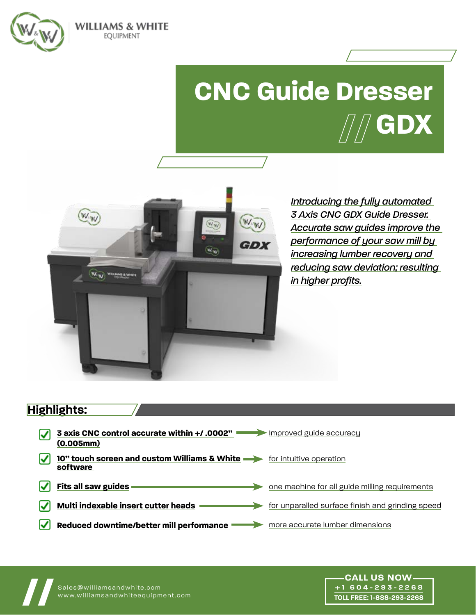

**WILLIAMS & WHITE** EQUIPMENT

## **CNC Guide Dresser GDX**



*Introducing the fully automated 3 Axis CNC GDX Guide Dresser. Accurate saw guides improve the performance of your saw mill by increasing lumber recovery and reducing saw deviation; resulting in higher profits.*

> **+1 604-293-2268 TOLL FREE: 1-888-293-2268**

### **Highlights:**

| <b>3 axis CNC control accurate within +/.0002"</b> Improved guide accuracy<br>(0.005mm) |                                                  |
|-----------------------------------------------------------------------------------------|--------------------------------------------------|
| 10" touch screen and custom Williams & White contractive operation<br>software          |                                                  |
| Fits all saw guides                                                                     | one machine for all guide milling requirements   |
| Multi indexable insert cutter heads                                                     | for unparalled surface finish and grinding speed |
| Reduced downtime/better mill performance                                                | more accurate lumber dimensions                  |